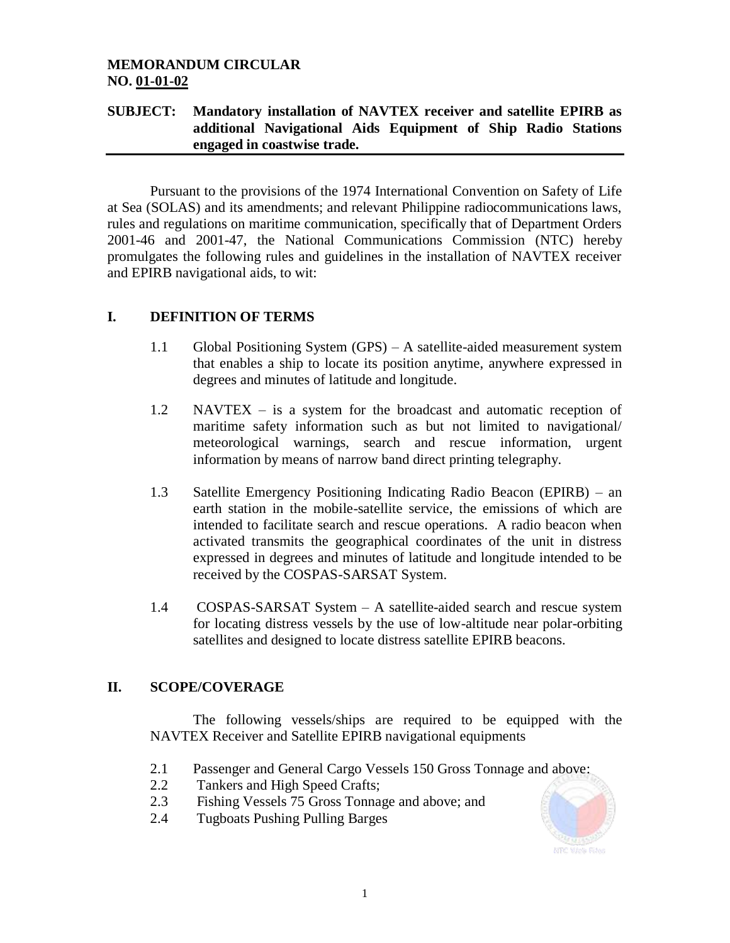# **MEMORANDUM CIRCULAR NO. 01-01-02**

# **SUBJECT: Mandatory installation of NAVTEX receiver and satellite EPIRB as additional Navigational Aids Equipment of Ship Radio Stations engaged in coastwise trade.**

Pursuant to the provisions of the 1974 International Convention on Safety of Life at Sea (SOLAS) and its amendments; and relevant Philippine radiocommunications laws, rules and regulations on maritime communication, specifically that of Department Orders 2001-46 and 2001-47, the National Communications Commission (NTC) hereby promulgates the following rules and guidelines in the installation of NAVTEX receiver and EPIRB navigational aids, to wit:

# **I. DEFINITION OF TERMS**

- 1.1 Global Positioning System (GPS) A satellite-aided measurement system that enables a ship to locate its position anytime, anywhere expressed in degrees and minutes of latitude and longitude.
- 1.2 NAVTEX is a system for the broadcast and automatic reception of maritime safety information such as but not limited to navigational/ meteorological warnings, search and rescue information, urgent information by means of narrow band direct printing telegraphy.
- 1.3 Satellite Emergency Positioning Indicating Radio Beacon (EPIRB) an earth station in the mobile-satellite service, the emissions of which are intended to facilitate search and rescue operations. A radio beacon when activated transmits the geographical coordinates of the unit in distress expressed in degrees and minutes of latitude and longitude intended to be received by the COSPAS-SARSAT System.
- 1.4 COSPAS-SARSAT System A satellite-aided search and rescue system for locating distress vessels by the use of low-altitude near polar-orbiting satellites and designed to locate distress satellite EPIRB beacons.

# **II. SCOPE/COVERAGE**

The following vessels/ships are required to be equipped with the NAVTEX Receiver and Satellite EPIRB navigational equipments

- 2.1 Passenger and General Cargo Vessels 150 Gross Tonnage and above:
- 2.2 Tankers and High Speed Crafts;
- 2.3 Fishing Vessels 75 Gross Tonnage and above; and
- 2.4 Tugboats Pushing Pulling Barges